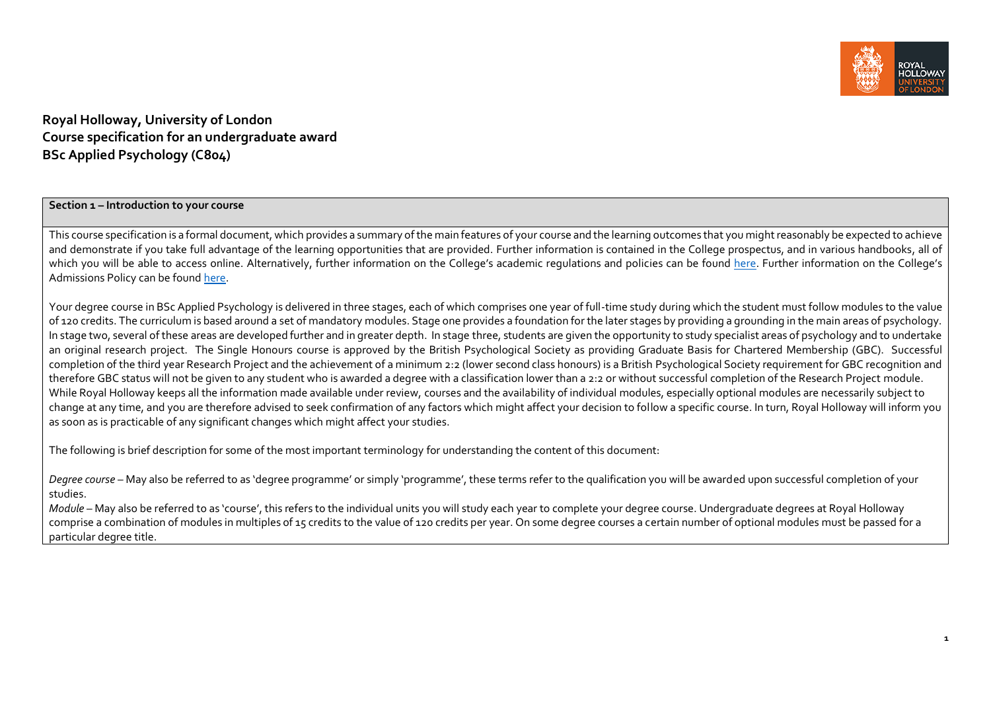

**Royal Holloway, University of London Course specification for an undergraduate award BSc Applied Psychology (C804)**

**Section 1 – Introduction to your course**

This course specification is a formal document, which provides a summary of the main features of your course and the learning outcomes that you might reasonably be expected to achieve and demonstrate if you take full advantage of the learning opportunities that are provided. Further information is contained in the College prospectus, and in various handbooks, all of which you will be able to access online. Alternatively, further information on the College's academic regulations and policies can be found [here.](https://intranet.royalholloway.ac.uk/staff/teaching/aqpo/academic-regulations-and-policies/academic-regulations-and-policies.aspx) Further information on the College's Admissions Policy can be foun[d here.](https://www.royalholloway.ac.uk/studying-here/applying/admissions-policy-and-procedures/)

Your degree course in BSc Applied Psychology is delivered in three stages, each of which comprises one year of full-time study during which the student must follow modules to the value of 120 credits. The curriculum is based around a set of mandatory modules. Stage one provides a foundation for the later stages by providing a grounding in the main areas of psychology. In stage two, several of these areas are developed further and in greater depth. In stage three, students are given the opportunity to study specialist areas of psychology and to undertake an original research project. The Single Honours course is approved by the British Psychological Society as providing Graduate Basis for Chartered Membership (GBC). Successful completion of the third year Research Project and the achievement of a minimum 2:2 (lower second class honours) is a British Psychological Society requirement for GBC recognition and therefore GBC status will not be given to any student who is awarded a degree with a classification lower than a 2:2 or without successful completion of the Research Project module. While Royal Holloway keeps all the information made available under review, courses and the availability of individual modules, especially optional modules are necessarily subject to change at any time, and you are therefore advised to seek confirmation of any factors which might affect your decision to follow a specific course. In turn, Royal Holloway will inform you as soon as is practicable of any significant changes which might affect your studies.

The following is brief description for some of the most important terminology for understanding the content of this document:

*Degree course* – May also be referred to as 'degree programme' or simply 'programme', these terms refer to the qualification you will be awarded upon successful completion of your studies.

*Module* – May also be referred to as 'course', this refers to the individual units you will study each year to complete your degree course. Undergraduate degrees at Royal Holloway comprise a combination of modules in multiples of 15 credits to the value of 120 credits per year. On some degree courses a certain number of optional modules must be passed for a particular degree title.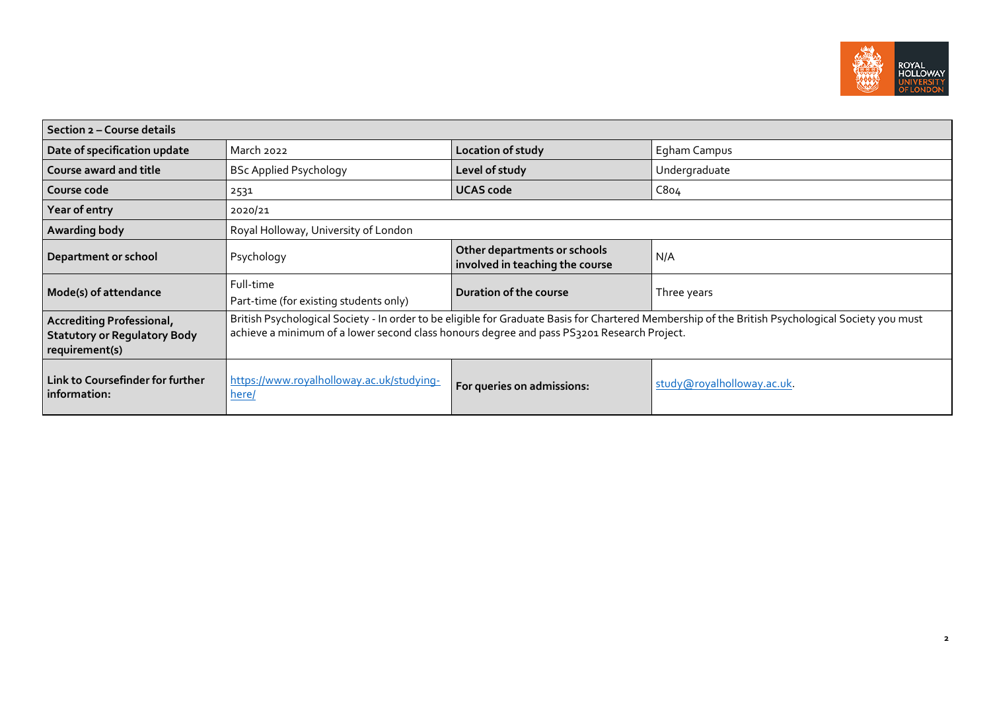

| Section 2 – Course details                                                         |                                                                                                                                                                                                                                                 |                                                                 |                            |  |
|------------------------------------------------------------------------------------|-------------------------------------------------------------------------------------------------------------------------------------------------------------------------------------------------------------------------------------------------|-----------------------------------------------------------------|----------------------------|--|
| Date of specification update                                                       | March 2022                                                                                                                                                                                                                                      | Location of study                                               | Egham Campus               |  |
| Course award and title                                                             | <b>BSc Applied Psychology</b>                                                                                                                                                                                                                   | Level of study                                                  | Undergraduate              |  |
| Course code                                                                        | 2531                                                                                                                                                                                                                                            | <b>UCAS code</b>                                                | C8o <sub>4</sub>           |  |
| Year of entry                                                                      | 2020/21                                                                                                                                                                                                                                         |                                                                 |                            |  |
| <b>Awarding body</b>                                                               | Royal Holloway, University of London                                                                                                                                                                                                            |                                                                 |                            |  |
| Department or school                                                               | Psychology                                                                                                                                                                                                                                      | Other departments or schools<br>involved in teaching the course | N/A                        |  |
| Mode(s) of attendance                                                              | Full-time<br>Part-time (for existing students only)                                                                                                                                                                                             | Duration of the course                                          | Three years                |  |
| Accrediting Professional,<br><b>Statutory or Regulatory Body</b><br>requirement(s) | British Psychological Society - In order to be eligible for Graduate Basis for Chartered Membership of the British Psychological Society you must<br>achieve a minimum of a lower second class honours degree and pass PS3201 Research Project. |                                                                 |                            |  |
| Link to Coursefinder for further<br>information:                                   | https://www.royalholloway.ac.uk/studying-<br>here/                                                                                                                                                                                              | For queries on admissions:                                      | study@royalholloway.ac.uk. |  |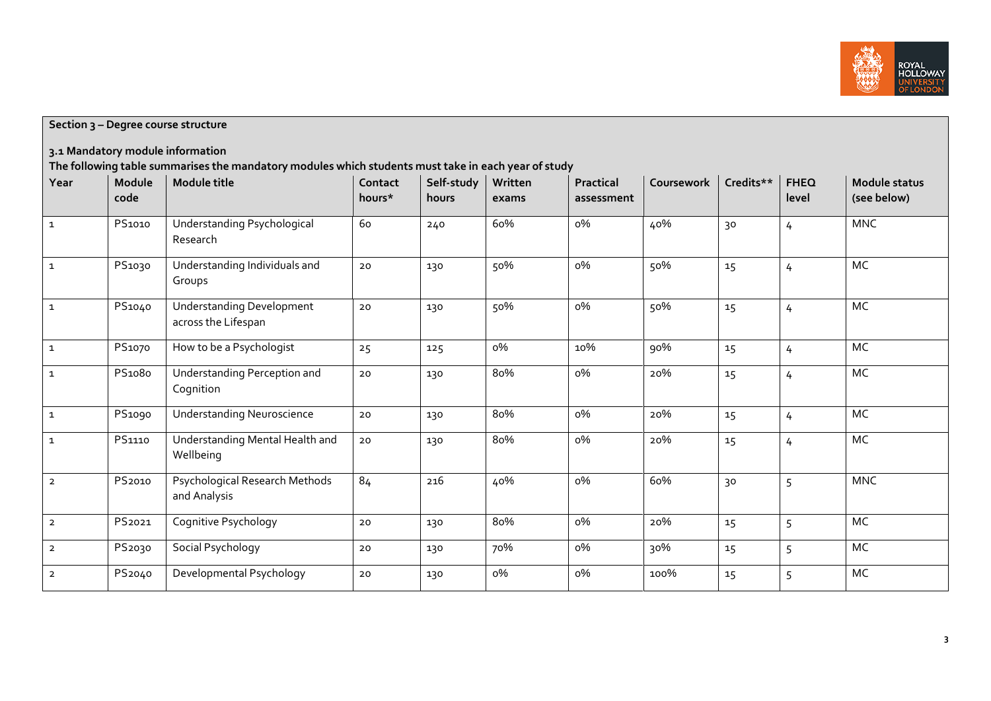

**Section 3 – Degree course structure**

**3.1 Mandatory module information**

**The following table summarises the mandatory modules which students must take in each year of study**

| Year           | Module<br>code | Module title                                            | Contact<br>hours* | Self-study<br>hours | Written<br>exams | Practical  | Coursework | Credits** | <b>FHEQ</b>    | Module status<br>(see below) |
|----------------|----------------|---------------------------------------------------------|-------------------|---------------------|------------------|------------|------------|-----------|----------------|------------------------------|
|                |                |                                                         |                   |                     |                  | assessment |            |           | level          |                              |
| $\overline{1}$ | PS1010         | Understanding Psychological<br>Research                 | 60                | 240                 | 60%              | о%         | 40%        | 30        | $\overline{4}$ | <b>MNC</b>                   |
| $\mathbf{1}$   | PS1030         | Understanding Individuals and<br>Groups                 | $20$              | 130                 | 50%              | о%         | 50%        | 15        | $\overline{4}$ | MC                           |
| $\mathbf 1$    | PS1040         | <b>Understanding Development</b><br>across the Lifespan | 20                | 130                 | 50%              | о%         | 50%        | 15        | $\overline{4}$ | MC                           |
| $\mathbf{1}$   | PS1070         | How to be a Psychologist                                | 25                | 125                 | о%               | 10%        | 90%        | 15        | $\overline{4}$ | MC                           |
| $\mathbf 1$    | PS1080         | Understanding Perception and<br>Cognition               | 20                | 130                 | 80%              | о%         | 20%        | 15        | $\overline{4}$ | MC                           |
| $\mathbf{1}$   | PS1090         | <b>Understanding Neuroscience</b>                       | 20                | 130                 | 80%              | о%         | 20%        | 15        | $\overline{4}$ | MC                           |
| $\mathbf{1}$   | PS1110         | Understanding Mental Health and<br>Wellbeing            | 20                | 130                 | 80%              | о%         | 20%        | 15        | $\overline{4}$ | MC                           |
| $\overline{2}$ | PS2010         | Psychological Research Methods<br>and Analysis          | 84                | 216                 | 40%              | о%         | 60%        | 30        | 5              | <b>MNC</b>                   |
| $\overline{2}$ | PS2021         | Cognitive Psychology                                    | 20                | 130                 | 80%              | о%         | 20%        | 15        | 5              | MC                           |
| $\overline{2}$ | PS2030         | Social Psychology                                       | 20                | 130                 | 70%              | о%         | 30%        | 15        | 5              | MC                           |
| $\overline{2}$ | PS2040         | Developmental Psychology                                | 20                | 130                 | о%               | о%         | 100%       | 15        | 5              | MC                           |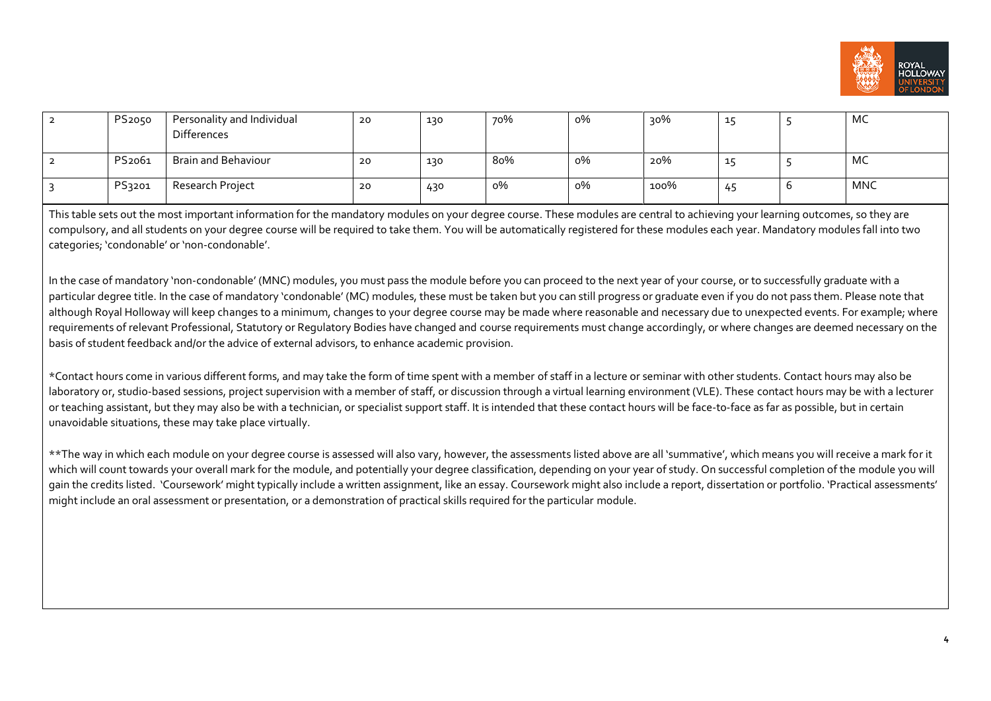

| 2 | PS2050             | Personality and Individual<br><b>Differences</b> | 20 | 130 | 70% | о% | 90%  | $\sim$    |   | MC         |
|---|--------------------|--------------------------------------------------|----|-----|-----|----|------|-----------|---|------------|
|   | PS <sub>2061</sub> | Brain and Behaviour                              | 20 | 130 | 80% | о% | 20%  | <u>д.</u> |   | MC         |
|   | PS3201             | Research Project                                 | 20 | 430 | о%  | о% | 100% | 45        | ◡ | <b>MNC</b> |

This table sets out the most important information for the mandatory modules on your degree course. These modules are central to achieving your learning outcomes, so they are compulsory, and all students on your degree course will be required to take them. You will be automatically registered for these modules each year. Mandatory modules fall into two categories; 'condonable' or 'non-condonable'.

In the case of mandatory 'non-condonable' (MNC) modules, you must pass the module before you can proceed to the next year of your course, or to successfully graduate with a particular degree title. In the case of mandatory 'condonable' (MC) modules, these must be taken but you can still progress or graduate even if you do not pass them. Please note that although Royal Holloway will keep changes to a minimum, changes to your degree course may be made where reasonable and necessary due to unexpected events. For example; where requirements of relevant Professional, Statutory or Regulatory Bodies have changed and course requirements must change accordingly, or where changes are deemed necessary on the basis of student feedback and/or the advice of external advisors, to enhance academic provision.

\*Contact hours come in various different forms, and may take the form of time spent with a member of staff in a lecture or seminar with other students. Contact hours may also be laboratory or, studio-based sessions, project supervision with a member of staff, or discussion through a virtual learning environment (VLE). These contact hours may be with a lecturer or teaching assistant, but they may also be with a technician, or specialist support staff. It is intended that these contact hours will be face-to-face as far as possible, but in certain unavoidable situations, these may take place virtually.

\*\*The way in which each module on your degree course is assessed will also vary, however, the assessments listed above are all 'summative', which means you will receive a mark for it which will count towards your overall mark for the module, and potentially your degree classification, depending on your year of study. On successful completion of the module you will gain the credits listed. 'Coursework' might typically include a written assignment, like an essay. Coursework might also include a report, dissertation or portfolio. 'Practical assessments' might include an oral assessment or presentation, or a demonstration of practical skills required for the particular module.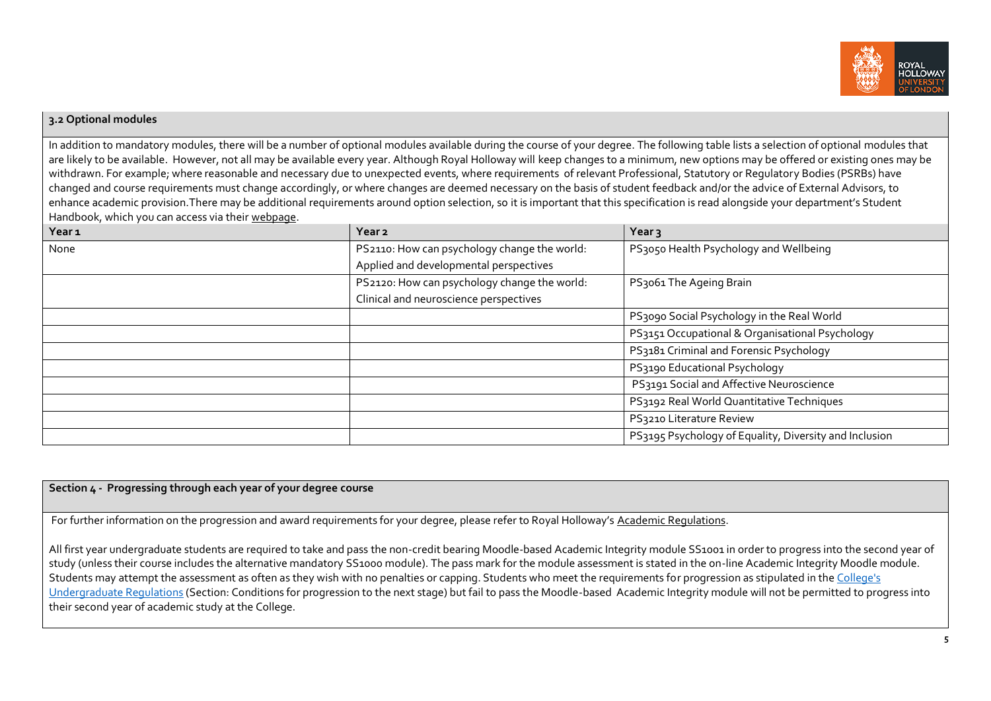

#### **3.2 Optional modules**

In addition to mandatory modules, there will be a number of optional modules available during the course of your degree. The following table lists a selection of optional modules that are likely to be available. However, not all may be available every year. Although Royal Holloway will keep changes to a minimum, new options may be offered or existing ones may be withdrawn. For example; where reasonable and necessary due to unexpected events, where requirements of relevant Professional, Statutory or Regulatory Bodies (PSRBs) have changed and course requirements must change accordingly, or where changes are deemed necessary on the basis of student feedback and/or the advice of External Advisors, to enhance academic provision.There may be additional requirements around option selection, so it is important that this specification is read alongside your department's Student Handbook, which you can access via thei[r webpage.](https://www.royalholloway.ac.uk/research-and-teaching/departments-and-schools/psychology/)

| Year <sub>1</sub> | Year <sub>2</sub>                            | Year <sub>3</sub>                                      |
|-------------------|----------------------------------------------|--------------------------------------------------------|
| None              | PS2110: How can psychology change the world: | PS3050 Health Psychology and Wellbeing                 |
|                   | Applied and developmental perspectives       |                                                        |
|                   | PS2120: How can psychology change the world: | PS3061 The Ageing Brain                                |
|                   | Clinical and neuroscience perspectives       |                                                        |
|                   |                                              | PS3090 Social Psychology in the Real World             |
|                   |                                              | PS3151 Occupational & Organisational Psychology        |
|                   |                                              | PS3181 Criminal and Forensic Psychology                |
|                   |                                              | PS3190 Educational Psychology                          |
|                   |                                              | PS3191 Social and Affective Neuroscience               |
|                   |                                              | PS3192 Real World Quantitative Techniques              |
|                   |                                              | PS3210 Literature Review                               |
|                   |                                              | PS3195 Psychology of Equality, Diversity and Inclusion |

# **Section 4 - Progressing through each year of your degree course**

For further information on the progression and award requirements for your degree, please refer to Royal Holloway's [Academic Regulations.](https://www.royalholloway.ac.uk/students/study/our-college-regulations/attendance-and-academic-regulations.aspx) 

All first year undergraduate students are required to take and pass the non-credit bearing Moodle-based Academic Integrity module SS1001 in order to progress into the second year of study (unless their course includes the alternative mandatory SS1000 module). The pass mark for the module assessment is stated in the on-line Academic Integrity Moodle module. Students may attempt the assessment as often as they wish with no penalties or capping. Students who meet the requirements for progression as stipulated in the [College's](https://eur03.safelinks.protection.outlook.com/?url=http%3A%2F%2Fwww.rhul.ac.uk%2Fforstudents%2Fstudying%2Facademicregulations%2Fhome.aspx&data=04%7C01%7CLee.Sheriston%40rhul.ac.uk%7Ccdef6ae6e5f24daf198f08da0c098fd9%7C2efd699a19224e69b601108008d28a2e%7C0%7C0%7C637835532442934224%7CUnknown%7CTWFpbGZsb3d8eyJWIjoiMC4wLjAwMDAiLCJQIjoiV2luMzIiLCJBTiI6Ik1haWwiLCJXVCI6Mn0%3D%7C3000&sdata=817sPHzroi3F75jvI2HUywhf8l9oJbiJFbdy0xek42E%3D&reserved=0)  [Undergraduate Regulations](https://eur03.safelinks.protection.outlook.com/?url=http%3A%2F%2Fwww.rhul.ac.uk%2Fforstudents%2Fstudying%2Facademicregulations%2Fhome.aspx&data=04%7C01%7CLee.Sheriston%40rhul.ac.uk%7Ccdef6ae6e5f24daf198f08da0c098fd9%7C2efd699a19224e69b601108008d28a2e%7C0%7C0%7C637835532442934224%7CUnknown%7CTWFpbGZsb3d8eyJWIjoiMC4wLjAwMDAiLCJQIjoiV2luMzIiLCJBTiI6Ik1haWwiLCJXVCI6Mn0%3D%7C3000&sdata=817sPHzroi3F75jvI2HUywhf8l9oJbiJFbdy0xek42E%3D&reserved=0) (Section: Conditions for progression to the next stage) but fail to pass the Moodle-based Academic Integrity module will not be permitted to progress into their second year of academic study at the College.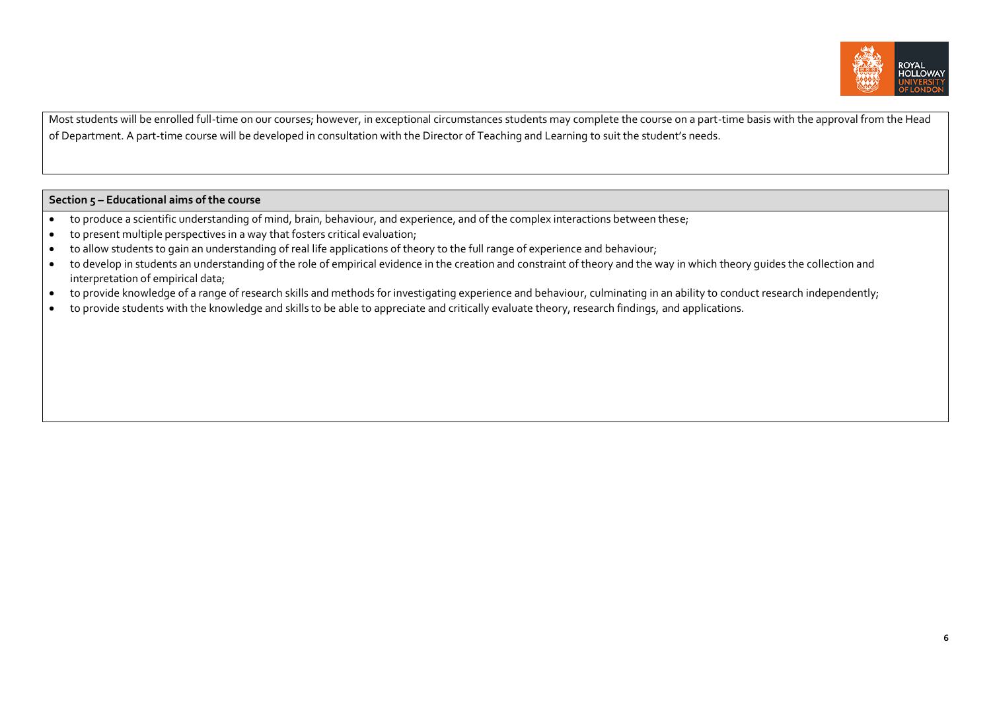

Most students will be enrolled full-time on our courses; however, in exceptional circumstances students may complete the course on a part-time basis with the approval from the Head of Department. A part-time course will be developed in consultation with the Director of Teaching and Learning to suit the student's needs.

#### **Section 5 – Educational aims of the course**

- to produce a scientific understanding of mind, brain, behaviour, and experience, and of the complex interactions between these;
- $\bullet$  to present multiple perspectives in a way that fosters critical evaluation;
- to allow students to gain an understanding of real life applications of theory to the full range of experience and behaviour;
- to develop in students an understanding of the role of empirical evidence in the creation and constraint of theory and the way in which theory quides the collection and interpretation of empirical data;
- to provide knowledge of a range of research skills and methods for investigating experience and behaviour, culminating in an ability to conduct research independently;
- to provide students with the knowledge and skills to be able to appreciate and critically evaluate theory, research findings, and applications.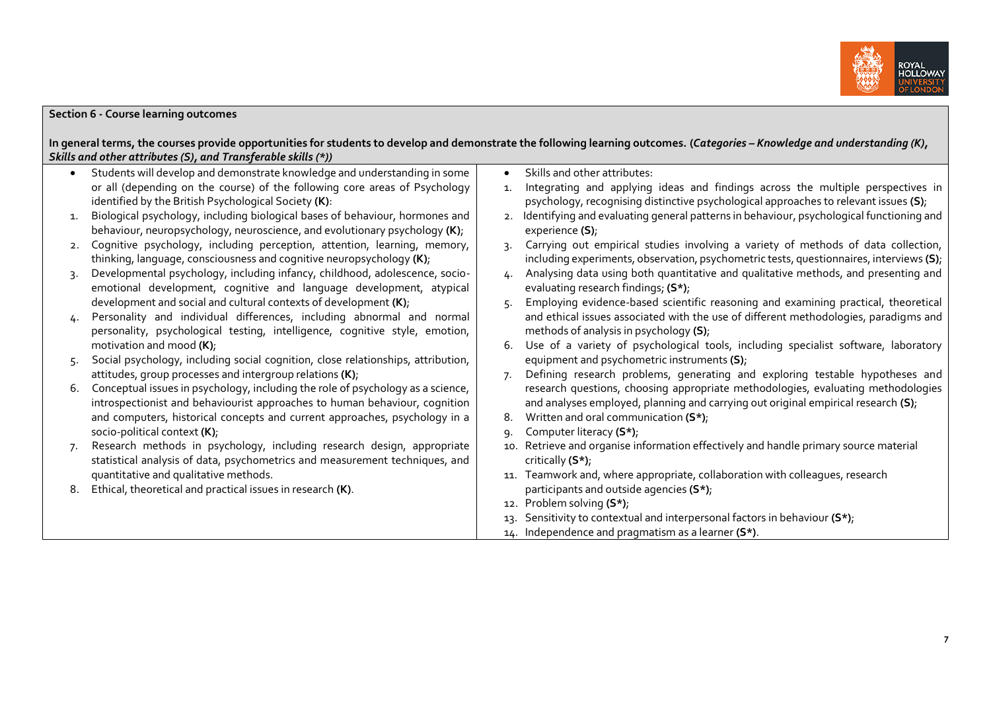

### **Section 6 - Course learning outcomes**

**In general terms, the courses provide opportunities for students to develop and demonstrate the following learning outcomes. (***Categories – Knowledge and understanding (K), Skills and other attributes (S), and Transferable skills (\*))*

 Students will develop and demonstrate knowledge and understanding in some or all (depending on the course) of the following core areas of Psychology identified by the British Psychological Society **(K)**: 1. Biological psychology, including biological bases of behaviour, hormones and behaviour, neuropsychology, neuroscience, and evolutionary psychology **(K)**; 2. Cognitive psychology, including perception, attention, learning, memory, thinking, language, consciousness and cognitive neuropsychology **(K)**; 3. Developmental psychology, including infancy, childhood, adolescence, socioemotional development, cognitive and language development, atypical development and social and cultural contexts of development **(K)**; 4. Personality and individual differences, including abnormal and normal personality, psychological testing, intelligence, cognitive style, emotion, motivation and mood **(K)**; 5. Social psychology, including social cognition, close relationships, attribution, attitudes, group processes and intergroup relations **(K)**; 6. Conceptual issues in psychology, including the role of psychology as a science, introspectionist and behaviourist approaches to human behaviour, cognition and computers, historical concepts and current approaches, psychology in a socio-political context **(K)**; 7. Research methods in psychology, including research design, appropriate statistical analysis of data, psychometrics and measurement techniques, and quantitative and qualitative methods. 8. Ethical, theoretical and practical issues in research **(K)**. Skills and other attributes: 1. Integrating and applying ideas and findings across the multiple perspectives in psychology, recognising distinctive psychological approaches to relevant issues **(S)**; 2. Identifying and evaluating general patterns in behaviour, psychological functioning and experience **(S)**; 3. Carrying out empirical studies involving a variety of methods of data collection, including experiments, observation, psychometric tests, questionnaires, interviews **(S)**; 4. Analysing data using both quantitative and qualitative methods, and presenting and evaluating research findings; **(S\*)**; 5. Employing evidence-based scientific reasoning and examining practical, theoretical and ethical issues associated with the use of different methodologies, paradigms and methods of analysis in psychology **(S)**; 6. Use of a variety of psychological tools, including specialist software, laboratory equipment and psychometric instruments **(S)**; 7. Defining research problems, generating and exploring testable hypotheses and research questions, choosing appropriate methodologies, evaluating methodologies and analyses employed, planning and carrying out original empirical research **(S)**; 8. Written and oral communication **(S\*)**; 9. Computer literacy **(S\*)**; 10. Retrieve and organise information effectively and handle primary source material critically **(S\*)**; 11. Teamwork and, where appropriate, collaboration with colleagues, research participants and outside agencies **(S\*)**; 12. Problem solving **(S\*)**; 13. Sensitivity to contextual and interpersonal factors in behaviour **(S\*)**; 14. Independence and pragmatism as a learner **(S\*)**.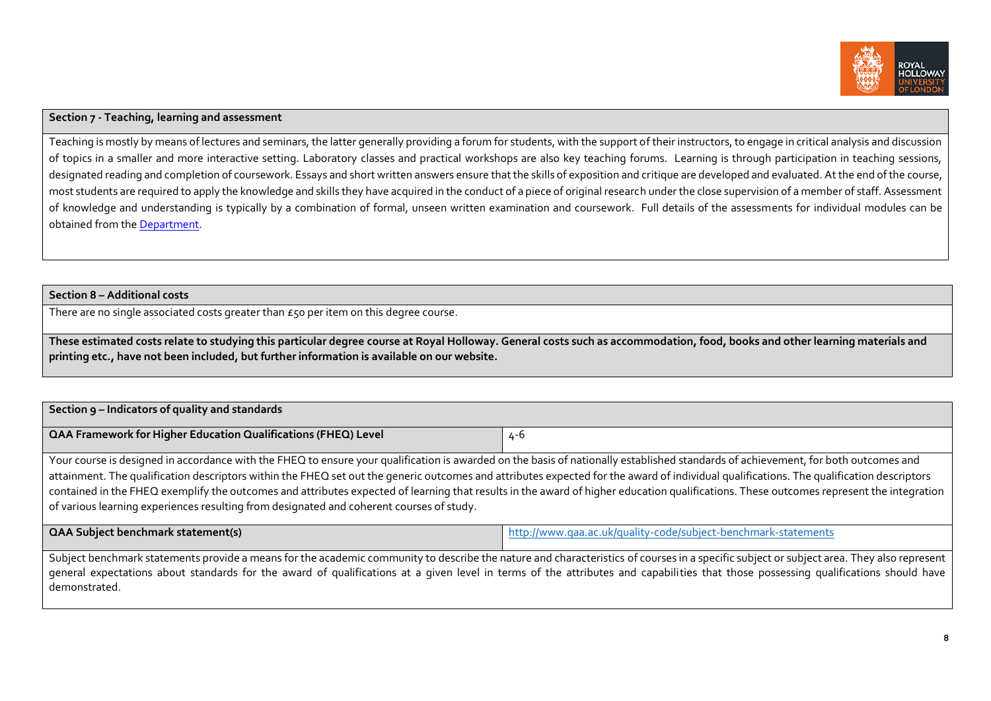

# **Section 7 - Teaching, learning and assessment**

Teaching is mostly by means of lectures and seminars, the latter generally providing a forum for students, with the support of their instructors, to engage in critical analysis and discussion of topics in a smaller and more interactive setting. Laboratory classes and practical workshops are also key teaching forums. Learning is through participation in teaching sessions, designated reading and completion of coursework. Essays and short written answers ensure that the skills of exposition and critique are developed and evaluated. At the end of the course, most students are required to apply the knowledge and skills they have acquired in the conduct of a piece of original research under the close supervision of a member of staff. Assessment of knowledge and understanding is typically by a combination of formal, unseen written examination and coursework. Full details of the assessments for individual modules can be obtained from th[e Department.](http://www.rhul.ac.uk/psychology/home.aspx)

**Section 8– Additional costs**

There are no single associated costs greater than  $\epsilon$  so per item on this degree course.

**These estimated costs relate to studying this particular degree course at Royal Holloway. General costs such as accommodation, food, books and other learning materials and printing etc., have not been included, but further information is available on our website.**

## **Section 9 – Indicators of quality and standards**

| <b>QAA Framework for Higher Education Qualifications (FHEQ) Level</b> | $\mathbf{r}$ |
|-----------------------------------------------------------------------|--------------|
|-----------------------------------------------------------------------|--------------|

Your course is designed in accordance with the FHEQ to ensure your qualification is awarded on the basis of nationally established standards of achievement, for both outcomes and attainment. The qualification descriptors within the FHEQ set out the generic outcomes and attributes expected for the award of individual qualifications. The qualification descriptors contained in the FHEQ exemplify the outcomes and attributes expected of learning that results in the award of higher education qualifications. These outcomes represent the integration of various learning experiences resulting from designated and coherent courses of study.

**QAA Subject benchmark statement(s)** <http://www.qaa.ac.uk/quality-code/subject-benchmark-statements>

Subject benchmark statements provide a means for the academic community to describe the nature and characteristics of courses in a specific subject or subject area. They also represent general expectations about standards for the award of qualifications at a given level in terms of the attributes and capabilities that those possessing qualifications should have demonstrated.